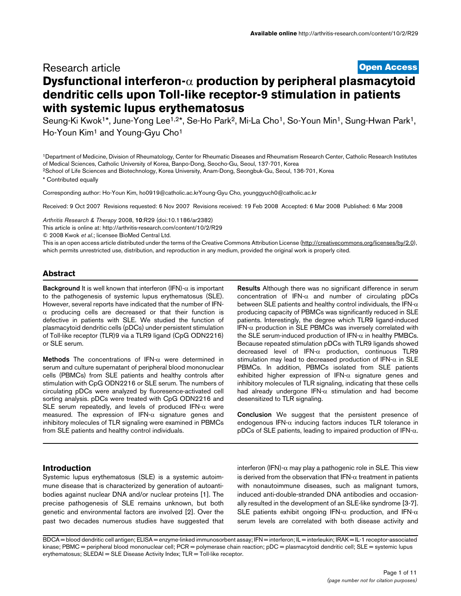# **[Open Access](http://www.biomedcentral.com/info/about/charter/)** Research article **Dysfunctional interferon-**α **production by peripheral plasmacytoid dendritic cells upon Toll-like receptor-9 stimulation in patients with systemic lupus erythematosus**

Seung-Ki Kwok<sup>1\*</sup>, June-Yong Lee<sup>1,2\*</sup>, Se-Ho Park<sup>2</sup>, Mi-La Cho<sup>1</sup>, So-Youn Min<sup>1</sup>, Sung-Hwan Park<sup>1</sup>, Ho-Youn Kim<sup>1</sup> and Young-Gyu Cho<sup>1</sup>

1Department of Medicine, Division of Rheumatology, Center for Rheumatic Diseases and Rheumatism Research Center, Catholic Research Institutes of Medical Sciences, Catholic University of Korea, Banpo-Dong, Seocho-Gu, Seoul, 137-701, Korea

2School of Life Sciences and Biotechnology, Korea University, Anam-Dong, Seongbuk-Gu, Seoul, 136-701, Korea

\* Contributed equally

Corresponding author: Ho-Youn Kim, ho0919@catholic.ac.krYoung-Gyu Cho, younggyuch0@catholic.ac.kr

Received: 9 Oct 2007 Revisions requested: 6 Nov 2007 Revisions received: 19 Feb 2008 Accepted: 6 Mar 2008 Published: 6 Mar 2008

*Arthritis Research & Therapy* 2008, **10**:R29 (doi:10.1186/ar2382)

[This article is online at: http://arthritis-research.com/content/10/2/R29](http://arthritis-research.com/content/10/2/R29)

© 2008 Kwok *et al*.; licensee BioMed Central Ltd.

This is an open access article distributed under the terms of the Creative Commons Attribution License [\(http://creativecommons.org/licenses/by/2.0\)](http://creativecommons.org/licenses/by/2.0), which permits unrestricted use, distribution, and reproduction in any medium, provided the original work is properly cited.

### **Abstract**

**Background** It is well known that interferon (IFN)-α is important to the pathogenesis of systemic lupus erythematosus (SLE). However, several reports have indicated that the number of IFN- $\alpha$  producing cells are decreased or that their function is defective in patients with SLE. We studied the function of plasmacytoid dendritic cells (pDCs) under persistent stimulation of Toll-like receptor (TLR)9 via a TLR9 ligand (CpG ODN2216) or SLE serum.

**Methods** The concentrations of IFN-α were determined in serum and culture supernatant of peripheral blood mononuclear cells (PBMCs) from SLE patients and healthy controls after stimulation with CpG ODN2216 or SLE serum. The numbers of circulating pDCs were analyzed by fluoresence-activated cell sorting analysis. pDCs were treated with CpG ODN2216 and SLE serum repeatedly, and levels of produced IFN-α were measured. The expression of IFN- $\alpha$  signature genes and inhibitory molecules of TLR signaling were examined in PBMCs from SLE patients and healthy control individuals.

**Results** Although there was no significant difference in serum concentration of IFN-α and number of circulating pDCs between SLE patients and healthy control individuals, the IFN- $\alpha$ producing capacity of PBMCs was significantly reduced in SLE patients. Interestingly, the degree which TLR9 ligand-induced IFN- $\alpha$  production in SLE PBMCs was inversely correlated with the SLE serum-induced production of IFN- $\alpha$  in healthy PMBCs. Because repeated stimulation pDCs with TLR9 ligands showed decreased level of IFN-α production, continuous TLR9 stimulation may lead to decreased production of IFN-α in SLE PBMCs. In addition, PBMCs isolated from SLE patients exhibited higher expression of IFN- $\alpha$  signature genes and inhibitory molecules of TLR signaling, indicating that these cells had already undergone IFN-α stimulation and had become desensitized to TLR signaling.

**Conclusion** We suggest that the persistent presence of endogenous IFN- $\alpha$  inducing factors induces TLR tolerance in pDCs of SLE patients, leading to impaired production of IFN-α.

#### **Introduction**

Systemic lupus erythematosus (SLE) is a systemic autoimmune disease that is characterized by generation of autoantibodies against nuclear DNA and/or nuclear proteins [1]. The precise pathogenesis of SLE remains unknown, but both genetic and environmental factors are involved [2]. Over the past two decades numerous studies have suggested that

interferon (IFN)- $\alpha$  may play a pathogenic role in SLE. This view is derived from the observation that  $IFN-\alpha$  treatment in patients with nonautoimmune diseases, such as malignant tumors, induced anti-double-stranded DNA antibodies and occasionally resulted in the development of an SLE-like syndrome [3-7]. SLE patients exhibit ongoing IFN- $\alpha$  production, and IFN- $\alpha$ serum levels are correlated with both disease activity and

BDCA = blood dendritic cell antigen; ELISA = enzyme-linked immunosorbent assay; IFN = interferon; IL = interleukin; IRAK = IL-1 receptor-associated kinase; PBMC = peripheral blood mononuclear cell; PCR = polymerase chain reaction; pDC = plasmacytoid dendritic cell; SLE = systemic lupus erythematosus;  $SLEDAI = SLE$  Disease Activity Index;  $TLR = Toll-like receptor$ .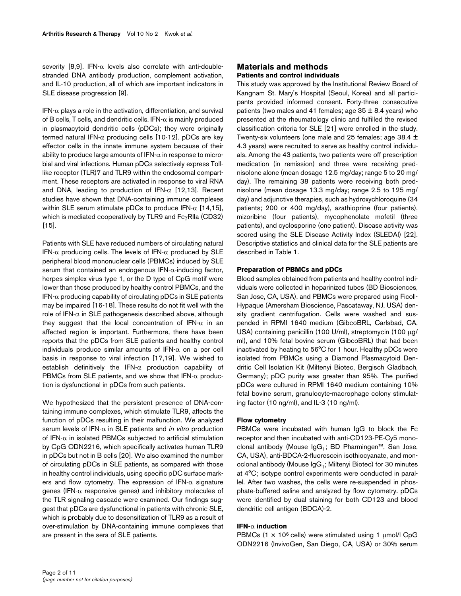severity [8,9]. IFN- $\alpha$  levels also correlate with anti-doublestranded DNA antibody production, complement activation, and IL-10 production, all of which are important indicators in SLE disease progression [9].

IFN- $\alpha$  plays a role in the activation, differentiation, and survival of B cells, T cells, and dendritic cells. IFN- $\alpha$  is mainly produced in plasmacytoid dendritic cells (pDCs); they were originally termed natural IFN-α producing cells [10-12]. pDCs are key effector cells in the innate immune system because of their ability to produce large amounts of IFN- $\alpha$  in response to microbial and viral infections. Human pDCs selectively express Tolllike receptor (TLR) 7 and TLR9 within the endosomal compartment. These receptors are activated in response to viral RNA and DNA, leading to production of IFN- $\alpha$  [12,13]. Recent studies have shown that DNA-containing immune complexes within SLE serum stimulate pDCs to produce IFN- $\alpha$  [14,15], which is mediated cooperatively by TLR9 and FcγRIIa (CD32) [15].

Patients with SLE have reduced numbers of circulating natural IFN- $\alpha$  producing cells. The levels of IFN- $\alpha$  produced by SLE peripheral blood mononuclear cells (PBMCs) induced by SLE serum that contained an endogenous  $IFN-\alpha$ -inducing factor, herpes simplex virus type 1, or the D type of CpG motif were lower than those produced by healthy control PBMCs, and the IFN- $\alpha$  producing capability of circulating pDCs in SLE patients may be impaired [16-18]. These results do not fit well with the role of IFN- $α$  in SLE pathogenesis described above, although they suggest that the local concentration of IFN- $\alpha$  in an affected region is important. Furthermore, there have been reports that the pDCs from SLE patients and healthy control individuals produce similar amounts of  $IFN-\alpha$  on a per cell basis in response to viral infection [17,19]. We wished to establish definitively the IFN- $\alpha$  production capability of PBMCs from SLE patients, and we show that  $IFN-\alpha$  production is dysfunctional in pDCs from such patients.

We hypothesized that the persistent presence of DNA-containing immune complexes, which stimulate TLR9, affects the function of pDCs resulting in their malfunction. We analyzed serum levels of IFN-α in SLE patients and *in vitro* production of IFN- $\alpha$  in isolated PBMCs subjected to artificial stimulation by CpG ODN2216, which specifically activates human TLR9 in pDCs but not in B cells [20]. We also examined the number of circulating pDCs in SLE patients, as compared with those in healthy control individuals, using specific pDC surface markers and flow cytometry. The expression of IFN- $\alpha$  signature genes (IFN- $\alpha$  responsive genes) and inhibitory molecules of the TLR signaling cascade were examined. Our findings suggest that pDCs are dysfunctional in patients with chronic SLE, which is probably due to desensitization of TLR9 as a result of over-stimulation by DNA-containing immune complexes that are present in the sera of SLE patients.

## **Materials and methods Patients and control individuals**

This study was approved by the Institutional Review Board of Kangnam St. Mary's Hospital (Seoul, Korea) and all participants provided informed consent. Forty-three consecutive patients (two males and 41 females; age  $35 \pm 8.4$  years) who presented at the rheumatology clinic and fulfilled the revised classification criteria for SLE [21] were enrolled in the study. Twenty-six volunteers (one male and 25 females; age 38.4 ± 4.3 years) were recruited to serve as healthy control individuals. Among the 43 patients, two patients were off prescription medication (in remission) and three were receiving prednisolone alone (mean dosage 12.5 mg/day; range 5 to 20 mg/ day). The remaining 38 patients were receiving both prednisolone (mean dosage 13.3 mg/day; range 2.5 to 125 mg/ day) and adjunctive therapies, such as hydroxychloroquine (34 patients; 200 or 400 mg/day), azathioprine (four patients), mizoribine (four patients), mycophenolate mofetil (three patients), and cyclosporine (one patient). Disease activity was scored using the SLE Disease Activity Index (SLEDAI) [22]. Descriptive statistics and clinical data for the SLE patients are described in Table 1.

## **Preparation of PBMCs and pDCs**

Blood samples obtained from patients and healthy control individuals were collected in heparinized tubes (BD Biosciences, San Jose, CA, USA), and PBMCs were prepared using Ficoll-Hypaque (Amersham Bioscience, Pascataway, NJ, USA) density gradient centrifugation. Cells were washed and suspended in RPMI 1640 medium (GibcoBRL, Carlsbad, CA, USA) containing penicillin (100 U/ml), streptomycin (100 μg/ ml), and 10% fetal bovine serum (GibcoBRL) that had been inactivated by heating to 56°C for 1 hour. Healthy pDCs were isolated from PBMCs using a Diamond Plasmacytoid Dendritic Cell Isolation Kit (Miltenyi Biotec, Bergisch Gladbach, Germany); pDC purity was greater than 95%. The purified pDCs were cultured in RPMI 1640 medium containing 10% fetal bovine serum, granulocyte-macrophage colony stimulating factor (10 ng/ml), and IL-3 (10 ng/ml).

### **Flow cytometry**

PBMCs were incubated with human IgG to block the Fc receptor and then incubated with anti-CD123-PE-Cy5 monoclonal antibody (Mouse  $lgG_1$ ; BD Pharmingen™, San Jose, CA, USA), anti-BDCA-2-fluorescein isothiocyanate, and monoclonal antibody (Mouse  $\text{lgG}_1$ ; Miltenyi Biotec) for 30 minutes at 4°C; isotype control experiments were conducted in parallel. After two washes, the cells were re-suspended in phosphate-buffered saline and analyzed by flow cytometry. pDCs were identified by dual staining for both CD123 and blood dendritic cell antigen (BDCA)-2.

### **IFN-**α **induction**

PBMCs  $(1 \times 10^6 \text{ cells})$  were stimulated using 1  $\mu$ mol/l CpG ODN2216 (InvivoGen, San Diego, CA, USA) or 30% serum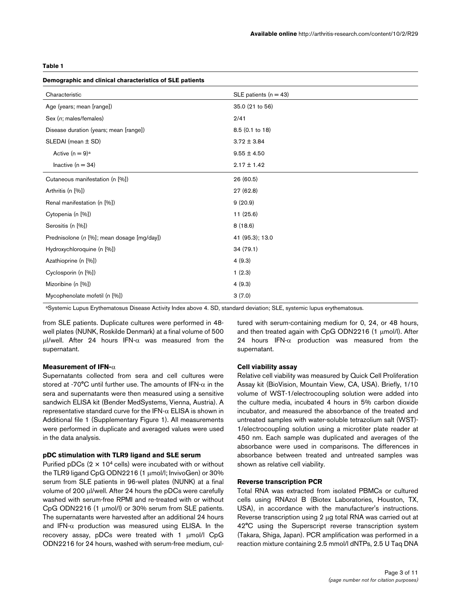#### **Table 1**

| Demographic and clinical characteristics of SLE patients |                         |
|----------------------------------------------------------|-------------------------|
| Characteristic                                           | SLE patients $(n = 43)$ |
| Age (years; mean [range])                                | 35.0 (21 to 56)         |
| Sex (n; males/females)                                   | 2/41                    |
| Disease duration (years; mean [range])                   | 8.5 (0.1 to 18)         |
| $SLEDAI$ (mean $\pm$ SD)                                 | $3.72 \pm 3.84$         |
| Active $(n = 9)^a$                                       | $9.55 \pm 4.50$         |
| Inactive $(n = 34)$                                      | $2.17 \pm 1.42$         |
| Cutaneous manifestation (n [%])                          | 26(60.5)                |
| Arthritis (n [%])                                        | 27 (62.8)               |
| Renal manifestation (n [%])                              | 9(20.9)                 |
| Cytopenia (n [%])                                        | 11(25.6)                |
| Serositis (n [%])                                        | 8(18.6)                 |
| Prednisolone (n [%]; mean dosage [mg/day])               | 41 (95.3); 13.0         |
| Hydroxychloroquine (n [%])                               | 34(79.1)                |
| Azathioprine (n [%])                                     | 4(9.3)                  |
| Cyclosporin (n [%])                                      | 1(2.3)                  |
| Mizoribine (n [%])                                       | 4(9.3)                  |
| Mycophenolate mofetil (n [%])                            | 3(7.0)                  |

aSystemic Lupus Erythematosus Disease Activity Index above 4. SD, standard deviation; SLE, systemic lupus erythematosus.

from SLE patients. Duplicate cultures were performed in 48 well plates (NUNK, Roskilde Denmark) at a final volume of 500 μl/well. After 24 hours IFN-α was measured from the supernatant.

#### **Measurement of IFN-**α

Supernatants collected from sera and cell cultures were stored at -70°C until further use. The amounts of IFN- $\alpha$  in the sera and supernatants were then measured using a sensitive sandwich ELISA kit (Bender MedSystems, Vienna, Austria). A representative standard curve for the IFN-α ELISA is shown in Additional file 1 (Supplementary Figure 1). All measurements were performed in duplicate and averaged values were used in the data analysis.

#### **pDC stimulation with TLR9 ligand and SLE serum**

Purified pDCs  $(2 \times 10^4 \text{ cells})$  were incubated with or without the TLR9 ligand CpG ODN2216 (1 μmol/l; InvivoGen) or 30% serum from SLE patients in 96-well plates (NUNK) at a final volume of 200 μl/well. After 24 hours the pDCs were carefully washed with serum-free RPMI and re-treated with or without CpG ODN2216 (1 μmol/l) or 30% serum from SLE patients. The supernatants were harvested after an additional 24 hours and IFN- $\alpha$  production was measured using ELISA. In the recovery assay, pDCs were treated with 1 μmol/l CpG ODN2216 for 24 hours, washed with serum-free medium, cultured with serum-containing medium for 0, 24, or 48 hours, and then treated again with CpG ODN2216 (1 μmol/l). After 24 hours IFN- $\alpha$  production was measured from the supernatant.

#### **Cell viability assay**

Relative cell viability was measured by Quick Cell Proliferation Assay kit (BioVision, Mountain View, CA, USA). Briefly, 1/10 volume of WST-1/electrocoupling solution were added into the culture media, incubated 4 hours in 5% carbon dioxide incubator, and measured the absorbance of the treated and untreated samples with water-soluble tetrazolium salt (WST)- 1/electrocoupling solution using a microtiter plate reader at 450 nm. Each sample was duplicated and averages of the absorbance were used in comparisons. The differences in absorbance between treated and untreated samples was shown as relative cell viability.

#### **Reverse transcription PCR**

Total RNA was extracted from isolated PBMCs or cultured cells using RNAzol B (Biotex Laboratories, Houston, TX, USA), in accordance with the manufacturer's instructions. Reverse transcription using 2 μg total RNA was carried out at 42°C using the Superscript reverse transcription system (Takara, Shiga, Japan). PCR amplification was performed in a reaction mixture containing 2.5 mmol/l dNTPs, 2.5 U Taq DNA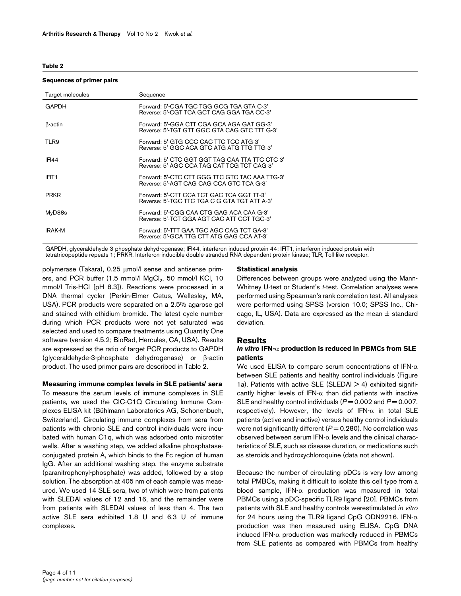#### <span id="page-3-0"></span>**Table 2**

#### **Sequences of primer pairs**

| Target molecules  | Sequence                                                                                     |
|-------------------|----------------------------------------------------------------------------------------------|
| <b>GAPDH</b>      | Forward: 5'-CGA TGC TGG GCG TGA GTA C-3'<br>Reverse: 5'-CGT TCA GCT CAG GGA TGA CC-3'        |
| $\beta$ -actin    | Forward: 5'-GGA CTT CGA GCA AGA GAT GG-3'<br>Reverse: 5'-TGT GTT GGC GTA CAG GTC TTT G-3'    |
| TLR9              | Forward: 5'-GTG CCC CAC TTC TCC ATG-3'<br>Reverse: 5'-GGC ACA GTC ATG ATG TTG TTG-3'         |
| IFI44             | Forward: 5'-CTC GGT GGT TAG CAA TTA TTC CTC-3'<br>Reverse: 5'-AGC CCA TAG CAT TCG TCT CAG-3' |
| IFIT <sub>1</sub> | Forward: 5'-CTC CTT GGG TTC GTC TAC AAA TTG-3'<br>Reverse: 5'-AGT CAG CAG CCA GTC TCA G-3'   |
| <b>PRKR</b>       | Forward: 5'-CTT CCA TCT GAC TCA GGT TT-3'<br>Reverse: 5'-TGC TTC TGA C G GTA TGT ATT A-3'    |
| MyD88s            | Forward: 5'-CGG CAA CTG GAG ACA CAA G-3'<br>Reverse: 5'-TCT GGA AGT CAC ATT CCT TGC-3'       |
| <b>IRAK-M</b>     | Forward: 5'-TTT GAA TGC AGC CAG TCT GA-3'<br>Reverse: 5'-GCA TTG CTT ATG GAG CCA AT-3'       |

GAPDH, glyceraldehyde-3-phosphate dehydrogenase; IFI44, interferon-induced protein 44; IFIT1, interferon-induced protein with tetratricopeptide repeats 1; PRKR, Interferon-inducible double-stranded RNA-dependent protein kinase; TLR, Toll-like receptor.

polymerase (Takara), 0.25 μmol/l sense and antisense primers, and PCR buffer (1.5 mmol/l MgCl<sub>2</sub>, 50 mmol/l KCl, 10 mmol/l Tris-HCl [pH 8.3]). Reactions were processed in a DNA thermal cycler (Perkin-Elmer Cetus, Wellesley, MA, USA). PCR products were separated on a 2.5% agarose gel and stained with ethidium bromide. The latest cycle number during which PCR products were not yet saturated was selected and used to compare treatments using Quantity One software (version 4.5.2; BioRad, Hercules, CA, USA). Results are expressed as the ratio of target PCR products to GAPDH (glyceraldehyde-3-phosphate dehydrogenase) or β-actin product. The used primer pairs are described in Table [2.](#page-3-0)

### **Measuring immune complex levels in SLE patients' sera**

To measure the serum levels of immune complexes in SLE patients, we used the CIC-C1Q Circulating Immune Complexes ELISA kit (Bühlmann Laboratories AG, Schonenbuch, Switzerland). Circulating immune complexes from sera from patients with chronic SLE and control individuals were incubated with human C1q, which was adsorbed onto microtiter wells. After a washing step, we added alkaline phosphataseconjugated protein A, which binds to the Fc region of human IgG. After an additional washing step, the enzyme substrate (paranitrophenyl-phosphate) was added, followed by a stop solution. The absorption at 405 nm of each sample was measured. We used 14 SLE sera, two of which were from patients with SLEDAI values of 12 and 16, and the remainder were from patients with SLEDAI values of less than 4. The two active SLE sera exhibited 1.8 U and 6.3 U of immune complexes.

#### **Statistical analysis**

Differences between groups were analyzed using the Mann-Whitney U-test or Student's *t*-test. Correlation analyses were performed using Spearman's rank correlation test. All analyses were performed using SPSS (version 10.0; SPSS Inc., Chicago, IL, USA). Data are expressed as the mean ± standard deviation.

#### **Results**

### *In vitro* **IFN-**α **production is reduced in PBMCs from SLE patients**

We used ELISA to compare serum concentrations of IFN- $\alpha$ between SLE patients and healthy control individuals (Figure [1](#page-4-0)a). Patients with active SLE (SLEDAI  $>$  4) exhibited significantly higher levels of IFN- $\alpha$  than did patients with inactive SLE and healthy control individuals ( $P = 0.002$  and  $P = 0.007$ , respectively). However, the levels of IFN- $\alpha$  in total SLE patients (active and inactive) versus healthy control individuals were not significantly different ( $P = 0.280$ ). No correlation was observed between serum IFN-α levels and the clinical characteristics of SLE, such as disease duration, or medications such as steroids and hydroxychloroquine (data not shown).

Because the number of circulating pDCs is very low among total PMBCs, making it difficult to isolate this cell type from a blood sample, IFN-α production was measured in total PBMCs using a pDC-specific TLR9 ligand [20]. PBMCs from patients with SLE and healthy controls werestimulated *in vitro* for 24 hours using the TLR9 ligand CpG ODN2216. IFN-α production was then measured using ELISA. CpG DNA induced IFN-α production was markedly reduced in PBMCs from SLE patients as compared with PBMCs from healthy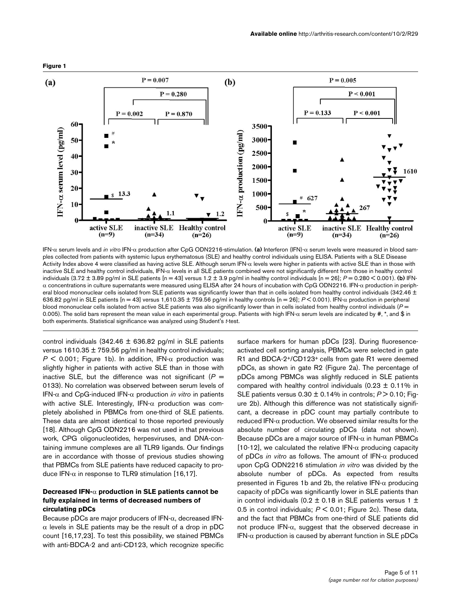<span id="page-4-0"></span>

IFN-α serum levels and *in vitro* IFN-α production after CpG ODN2216-stimulation. (a) Interferon (IFN)-α serum levels were measured in blood samples collected from patients with systemic lupus erythematosus (SLE) and healthy control individuals using ELISA. Patients with a SLE Disease Activity Index above 4 were classified as having active SLE. Although serum IFN-α levels were higher in patients with active SLE than in those with inactive SLE and healthy control individuals, IFN-α levels in all SLE patients combined were not significantly different from those in healthy control individuals (3.72 ± 3.89 pg/ml in SLE patients [n = 43] versus 1.2 ± 3.9 pg/ml in healthy control individuals [n = 26]; *P* = 0.280 < 0.001). **(b)** IFNα concentrations in culture supernatants were measured using ELISA after 24 hours of incubation with CpG ODN2216. IFN-α production in peripheral blood mononuclear cells isolated from SLE patients was significantly lower than that in cells isolated from healthy control individuals (342.46 ± 636.82 pg/ml in SLE patients [n = 43] versus 1,610.35 ± 759.56 pg/ml in healthy controls [n = 26]; *P* < 0.001). IFN-α production in peripheral blood mononuclear cells isolated from active SLE patients was also significantly lower than in cells isolated from healthy control individuals (*P* = 0.005). The solid bars represent the mean value in each experimental group. Patients with high IFN-α serum levels are indicated by #, \*, and \$ in both experiments. Statistical significance was analyzed using Student's *t*-test.

control individuals (342.46  $\pm$  636.82 pg/ml in SLE patients versus 1610.35 ± 759.56 pg/ml in healthy control individuals;  $P \le 0.001$ ; Figure [1b](#page-4-0)). In addition, IFN- $\alpha$  production was slightly higher in patients with active SLE than in those with inactive SLE, but the difference was not significant  $(P =$ 0133). No correlation was observed between serum levels of IFN-α and CpG-induced IFN-α production *in vitro* in patients with active SLE. Interestingly, IFN- $\alpha$  production was completely abolished in PBMCs from one-third of SLE patients. These data are almost identical to those reported previously [18]. Although CpG ODN2216 was not used in that previous work, CPG oligonucleotides, herpesviruses, and DNA-containing immune complexes are all TLR9 ligands. Our findings are in accordance with thosse of previous studies showing that PBMCs from SLE patients have reduced capacity to produce IFN-α in response to TLR9 stimulation [16,17].

## **Decreased IFN-**α **production in SLE patients cannot be fully explained in terms of decreased numbers of circulating pDCs**

Because pDCs are major producers of IFN-α, decreased IFN- $\alpha$  levels in SLE patients may be the result of a drop in pDC count [16,17,23]. To test this possibility, we stained PBMCs with anti-BDCA-2 and anti-CD123, which recognize specific

surface markers for human pDCs [23]. During fluoresenceactivated cell sorting analysis, PBMCs were selected in gate R1 and BDCA-2+/CD123+ cells from gate R1 were deemed pDCs, as shown in gate R2 (Figure 2a). The percentage of pDCs among PBMCs was slightly reduced in SLE patients compared with healthy control individuals  $(0.23 \pm 0.11\%)$  in SLE patients versus 0.30 ± 0.14% in controls; *P* > 0.10; Figure 2b). Although this difference was not statistically significant, a decrease in pDC count may partially contribute to  $reduced IFN-\alpha$  production. We observed similar results for the absolute number of circulating pDCs (data not shown). Because pDCs are a major source of  $IFN-\alpha$  in human PBMCs [10-12], we calculated the relative IFN- $\alpha$  producing capacity of pDCs *in vitro* as follows. The amount of IFN-α produced upon CpG ODN2216 stimulation *in vitro* was divided by the absolute number of pDCs. As expected from results presented in Figures [1](#page-4-0)b and 2b, the relative IFN- $\alpha$  producing capacity of pDCs was significantly lower in SLE patients than in control individuals (0.2  $\pm$  0.18 in SLE patients versus 1  $\pm$ 0.5 in control individuals; *P* < 0.01; Figure 2c). These data, and the fact that PBMCs from one-third of SLE patients did not produce IFN-α, suggest that the observed decrease in IFN- $\alpha$  production is caused by aberrant function in SLE pDCs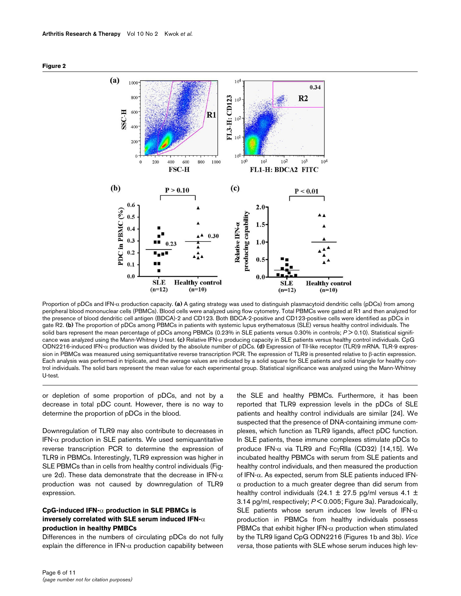



Proportion of pDCs and IFN-α production capacity. (a) A gating strategy was used to distinguish plasmacytoid dendritic cells (pDCs) from among peripheral blood mononuclear cells (PBMCs). Blood cells were analyzed using flow cytometry. Total PBMCs were gated at R1 and then analyzed for the presence of blood dendritic cell antigen (BDCA)-2 and CD123. Both BDCA-2-positive and CD123-positive cells were identified as pDCs in gate R2. **(b)** The proportion of pDCs among PBMCs in patients with systemic lupus erythematosus (SLE) versus healthy control individuals. The solid bars represent the mean percentage of pDCs among PBMCs (0.23% in SLE patients versus 0.30% in controls; *P* > 0.10). Statistical significance was analyzed using the Mann-Whitney U-test. **(c)** Relative IFN-α producing capacity in SLE patients versus healthy control individuals. CpG ODN2216-induced IFN-α production was divided by the absolute number of pDCs. **(d)** Expression of Tll-like receptor (TLR)9 mRNA. TLR-9 expression in PBMCs was measured using semiquantitative reverse transcription PCR. The expression of TLR9 is presented relative to β-actin expression. Each analysis was performed in triplicate, and the average values are indicated by a solid square for SLE patients and solid triangle for healthy control individuals. The solid bars represent the mean value for each experimental group. Statistical significance was analyzed using the Mann-Whitney U-test.

or depletion of some proportion of pDCs, and not by a decrease in total pDC count. However, there is no way to determine the proportion of pDCs in the blood.

Downregulation of TLR9 may also contribute to decreases in IFN- $\alpha$  production in SLE patients. We used semiquantitative reverse transcription PCR to determine the expression of TLR9 in PBMCs. Interestingly, TLR9 expression was higher in SLE PBMCs than in cells from healthy control individuals (Figure 2d). These data demonstrate that the decrease in IFN- $\alpha$ production was not caused by downregulation of TLR9 expression.

## **CpG-induced IFN-**α **production in SLE PBMCs is inversely correlated with SLE serum induced IFN-**α **production in healthy PMBCs**

Differences in the numbers of circulating pDCs do not fully explain the difference in IFN- $\alpha$  production capability between the SLE and healthy PBMCs. Furthermore, it has been reported that TLR9 expression levels in the pDCs of SLE patients and healthy control individuals are similar [24]. We suspected that the presence of DNA-containing immune complexes, which function as TLR9 ligands, affect pDC function. In SLE patients, these immune complexes stimulate pDCs to produce IFN-α via TLR9 and FcγRIIa (CD32) [14,15]. We incubated healthy PBMCs with serum from SLE patients and healthy control individuals, and then measured the production of IFN-α. As expected, serum from SLE patients induced IFN- $\alpha$  production to a much greater degree than did serum from healthy control individuals (24.1  $\pm$  27.5 pg/ml versus 4.1  $\pm$ 3.14 pg/ml, respectively; *P* < 0.005; Figure 3a). Paradoxically, SLE patients whose serum induces low levels of IFN- $\alpha$ production in PBMCs from healthy individuals possess PBMCs that exhibit higher IFN- $\alpha$  production when stimulated by the TLR9 ligand CpG ODN2216 (Figures [1](#page-4-0)b and 3b). *Vice versa*, those patients with SLE whose serum induces high lev-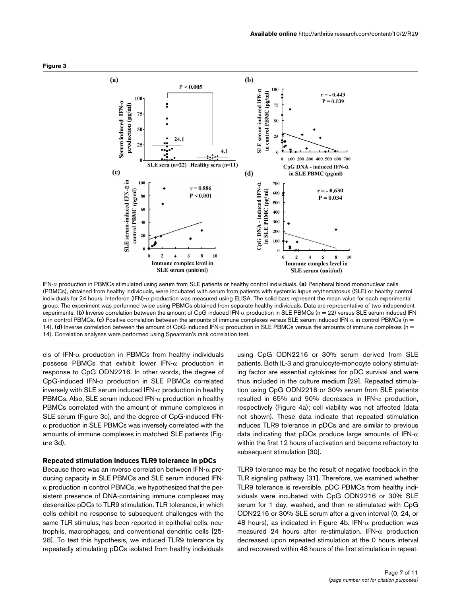



IFN-α production in PBMCs stimulated using serum from SLE patients or healthy control individuals. (a) Peripheral blood mononuclear cells (PBMCs), obtained from healthy individuals, were incubated with serum from patients with systemic lupus erythematosus (SLE) or healthy control individuals for 24 hours. Interferon (IFN)- $α$  production was measured using ELISA. The solid bars represent the mean value for each experimental group. The experiment was performed twice using PBMCs obtained from separate healthy individuals. Data are representative of two independent experiments. **(b)** Inverse correlation between the amount of CpG induced IFN-α production in SLE PBMCs (n = 22) versus SLE serum induced IFNα in control PBMCs. **(c)** Positive correlation between the amounts of immune complexes versus SLE serum induced IFN-α in control PBMCs (n = 14). **(d)** Inverse correlation between the amount of CpG-induced IFN-α production in SLE PBMCs versus the amounts of immune complexes (n = 14). Correlation analyses were performed using Spearman's rank correlation test.

els of IFN- $\alpha$  production in PBMCs from healthy individuals possess PBMCs that exhibit lower IFN- $\alpha$  production in response to CpG ODN2216. In other words, the degree of CpG-induced IFN-α production in SLE PBMCs correlated inversely with SLE serum induced IFN- $\alpha$  production in healthy PBMCs. Also, SLE serum induced IFN- $\alpha$  production in healthy PBMCs correlated with the amount of immune complexes in SLE serum (Figure 3c), and the degree of CpG-induced IFN- $\alpha$  production in SLE PBMCs was inversely correlated with the amounts of immune complexes in matched SLE patients (Figure 3d).

### **Repeated stimulation induces TLR9 tolerance in pDCs**

Because there was an inverse correlation between IFN- $\alpha$  producing capacity in SLE PBMCs and SLE serum induced IFN- $\alpha$  production in control PBMCs, we hypothesized that the persistent presence of DNA-containing immune complexes may desensitize pDCs to TLR9 stimulation. TLR tolerance, in which cells exhibit no response to subsequent challenges with the same TLR stimulus, has been reported in epithelial cells, neutrophils, macrophages, and conventional dendritic cells [25- 28]. To test this hypothesis, we induced TLR9 tolerance by repeatedly stimulating pDCs isolated from healthy individuals

using CpG ODN2216 or 30% serum derived from SLE patients. Both IL-3 and granulocyte-monocyte colony stimulating factor are essential cytokines for pDC survival and were thus included in the culture medium [29]. Repeated stimulation using CpG ODN2216 or 30% serum from SLE patients resulted in 65% and 90% decreases in IFN-α production, respectively (Figure 4a); cell viability was not affected (data not shown). These data indicate that repeated stimulation induces TLR9 tolerance in pDCs and are similar to previous data indicating that pDCs produce large amounts of  $IFN-\alpha$ within the first 12 hours of activation and become refractory to subsequent stimulation [30].

TLR9 tolerance may be the result of negative feedback in the TLR signaling pathway [31]. Therefore, we examined whether TLR9 tolerance is reversible. pDC PBMCs from healthy individuals were incubated with CpG ODN2216 or 30% SLE serum for 1 day, washed, and then re-stimulated with CpG ODN2216 or 30% SLE serum after a given interval (0, 24, or 48 hours), as indicated in Figure 4b. IFN- $\alpha$  production was measured 24 hours after re-stimulation. IFN-α production decreased upon repeated stimulation at the 0 hours interval and recovered within 48 hours of the first stimulation in repeat-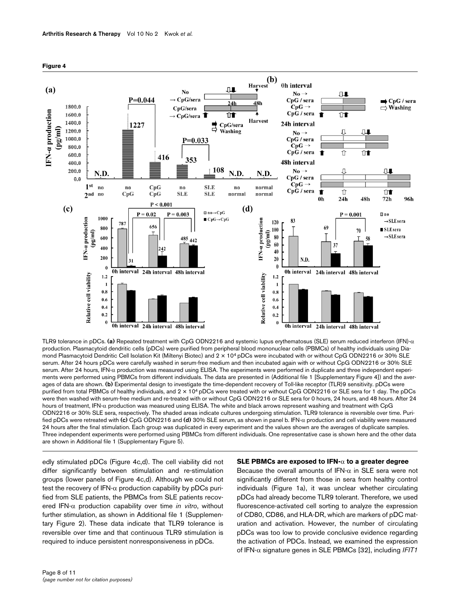

**Figure 4**

TLR9 tolerance in pDCs. (a) Repeated treatment with CpG ODN2216 and systemic lupus erythematosus (SLE) serum reduced interferon (IFN)-α production. Plasmacytoid dendritic cells (pDCs) were purified from peripheral blood mononuclear cells (PBMCs) of healthy individuals using Diamond Plasmacytoid Dendritic Cell Isolation Kit (Miltenyi Biotec) and 2 × 104 pDCs were incubated with or without CpG ODN2216 or 30% SLE serum. After 24 hours pDCs were carefully washed in serum-free medium and then incubated again with or without CpG ODN2216 or 30% SLE serum. After 24 hours, IFN-α production was measured using ELISA. The experiments were performed in duplicate and three independent experiments were performed using PBMCs from different individuals. The data are presented in (Additional file 1 [Supplementary Figure 4]) and the averages of data are shown. **(b)** Experimental design to investigate the time-dependent recovery of Toll-like receptor (TLR)9 sensitivity. pDCs were purified from total PBMCs of healthy individuals, and  $2 \times 10^4$  pDCs were treated with or without CpG ODN2216 or SLE sera for 1 day. The pDCs were then washed with serum-free medium and re-treated with or without CpG ODN2216 or SLE sera for 0 hours, 24 hours, and 48 hours. After 24 hours of treatment, IFN-α production was measured using ELISA. The white and black arrows represent washing and treatment with CpG ODN2216 or 30% SLE sera, respectively. The shaded areas indicate cultures undergoing stimulation. TLR9 tolerance is reversible over time. Purified pDCs were retreated with **(c)** CpG ODN2216 and **(d)** 30% SLE serum, as shown in panel b. IFN-α production and cell viability were measured 24 hours after the final stimulation. Each group was duplicated in every experiment and the values shown are the averages of duplicate samples. Three independent experiments were performed using PBMCs from different individuals. One representative case is shown here and the other data are shown in Additional file 1 (Supplementary Figure 5).

edly stimulated pDCs (Figure 4c,d). The cell viability did not differ significantly between stimulation and re-stimulation groups (lower panels of Figure 4c,d). Although we could not test the recovery of IFN- $\alpha$  production capability by pDCs purified from SLE patients, the PBMCs from SLE patients recovered IFN-α production capability over time *in vitro*, without further stimulation, as shown in Additional file 1 (Supplementary Figure 2). These data indicate that TLR9 tolerance is reversible over time and that continuous TLR9 stimulation is required to induce persistent nonresponsiveness in pDCs.

#### **SLE PBMCs are exposed to IFN-**α **to a greater degree**

Because the overall amounts of IFN- $\alpha$  in SLE sera were not significantly different from those in sera from healthy control individuals (Figure [1a](#page-4-0)), it was unclear whether circulating pDCs had already become TLR9 tolerant. Therefore, we used fluorescence-activated cell sorting to analyze the expression of CD80, CD86, and HLA-DR, which are markers of pDC maturation and activation. However, the number of circulating pDCs was too low to provide conclusive evidence regarding the activation of PDCs. Instead, we examined the expression of IFN-α signature genes in SLE PBMCs [32], including *IFIT1*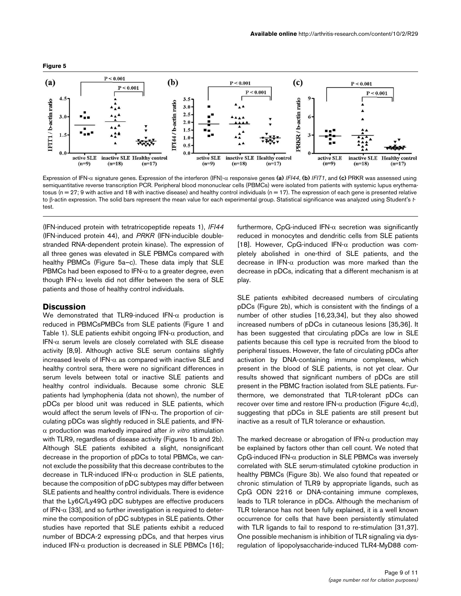



Expression of IFN-α signature genes. Expression of the interferon (IFN)-α responsive genes (a) *IFI44*, (b) *IFIT1*, and (c) PRKR was assessed using semiquantitative reverse transcription PCR. Peripheral blood mononuclear cells (PBMCs) were isolated from patients with systemic lupus erythematosus (n = 27; 9 with active and 18 with inactive disease) and healthy control individuals (n = 17). The expression of each gene is presented relative to β-actin expression. The solid bars represent the mean value for each experimental group. Statistical significance was analyzed using Student's *t*test.

(IFN-induced protein with tetratricopeptide repeats 1), *IFI44* (IFN-induced protein 44), and *PRKR* (IFN-inducible doublestranded RNA-dependent protein kinase). The expression of all three genes was elevated in SLE PBMCs compared with healthy PBMCs (Figure 5a–c). These data imply that SLE PBMCs had been exposed to  $IFN-\alpha$  to a greater degree, even though IFN-α levels did not differ between the sera of SLE patients and those of healthy control individuals.

#### **Discussion**

We demonstrated that TLR9-induced IFN- $\alpha$  production is reduced in PBMCsPMBCs from SLE patients (Figure [1](#page-4-0) and Table 1). SLE patients exhibit ongoing IFN- $\alpha$  production, and IFN- $\alpha$  serum levels are closely correlated with SLE disease activity [8,9]. Although active SLE serum contains slightly increased levels of IFN- $\alpha$  as compared with inactive SLE and healthy control sera, there were no significant differences in serum levels between total or inactive SLE patients and healthy control individuals. Because some chronic SLE patients had lymphophenia (data not shown), the number of pDCs per blood unit was reduced in SLE patients, which would affect the serum levels of IFN- $\alpha$ . The proportion of circulating pDCs was slightly reduced in SLE patients, and IFNα production was markedly impaired after *in vitro* stimulation with TLR9, regardless of disease activity (Figures [1b](#page-4-0) and 2b). Although SLE patients exhibited a slight, nonsignificant decrease in the proportion of pDCs to total PBMCs, we cannot exclude the possibility that this decrease contributes to the decrease in TLR-induced IFN- $\alpha$  production in SLE patients, because the composition of pDC subtypes may differ between SLE patients and healthy control individuals. There is evidence that the Ly6C/Ly49Q pDC subtypes are effective producers of IFN- $\alpha$  [33], and so further investigation is required to determine the composition of pDC subtypes in SLE patients. Other studies have reported that SLE patients exhibit a reduced number of BDCA-2 expressing pDCs, and that herpes virus induced IFN-α production is decreased in SLE PBMCs [16];

furthermore, CpG-induced IFN- $\alpha$  secretion was significantly reduced in monocytes and dendritic cells from SLE patients [18]. However, CpG-induced IFN-α production was completely abolished in one-third of SLE patients, and the decrease in IFN-α production was more marked than the decrease in pDCs, indicating that a different mechanism is at play.

SLE patients exhibited decreased numbers of circulating pDCs (Figure 2b), which is consistent with the findings of a number of other studies [16,23,34], but they also showed increased numbers of pDCs in cutaneous lesions [35,36]. It has been suggested that circulating pDCs are low in SLE patients because this cell type is recruited from the blood to peripheral tissues. However, the fate of circulating pDCs after activation by DNA-containing immune complexes, which present in the blood of SLE patients, is not yet clear. Our results showed that significant numbers of pDCs are still present in the PBMC fraction isolated from SLE patients. Furthermore, we demonstrated that TLR-tolerant pDCs can recover over time and restore IFN- $\alpha$  production (Figure 4c,d), suggesting that pDCs in SLE patients are still present but inactive as a result of TLR tolerance or exhaustion.

The marked decrease or abrogation of IFN- $\alpha$  production may be explained by factors other than cell count. We noted that CpG-induced IFN-α production in SLE PBMCs was inversely correlated with SLE serum-stimulated cytokine production in healthy PBMCs (Figure 3b). We also found that repeated or chronic stimulation of TLR9 by appropriate ligands, such as CpG ODN 2216 or DNA-containing immune complexes, leads to TLR tolerance in pDCs. Although the mechanism of TLR tolerance has not been fully explained, it is a well known occurrence for cells that have been persistently stimulated with TLR ligands to fail to respond to re-stimulation [31,37]. One possible mechanism is inhibition of TLR signaling via dysregulation of lipopolysaccharide-induced TLR4-MyD88 com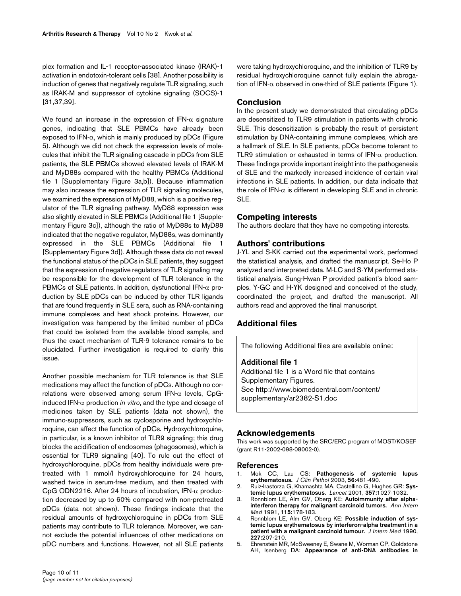plex formation and IL-1 receptor-associated kinase (IRAK)-1 activation in endotoxin-tolerant cells [38]. Another possibility is induction of genes that negatively regulate TLR signaling, such as IRAK-M and suppressor of cytokine signaling (SOCS)-1 [31,37,39].

We found an increase in the expression of IFN- $\alpha$  signature genes, indicating that SLE PBMCs have already been exposed to IFN- $\alpha$ , which is mainly produced by pDCs (Figure 5). Although we did not check the expression levels of molecules that inhibit the TLR signaling cascade in pDCs from SLE patients, the SLE PBMCs showed elevated levels of IRAK-M and MyD88s compared with the healthy PBMCs (Additional file 1 [Supplementary Figure 3a,b]). Because inflammation may also increase the expression of TLR signaling molecules, we examined the expression of MyD88, which is a positive regulator of the TLR signaling pathway. MyD88 expression was also slightly elevated in SLE PBMCs (Additional file 1 [Supplementary Figure 3c]), although the ratio of MyD88s to MyD88 indicated that the negative regulator, MyD88s, was dominantly expressed in the SLE PBMCs (Additional file 1 [Supplementary Figure 3d]). Although these data do not reveal the functional status of the pDCs in SLE patients, they suggest that the expression of negative regulators of TLR signaling may be responsible for the development of TLR tolerance in the PBMCs of SLE patients. In addition, dysfunctional IFN-α production by SLE pDCs can be induced by other TLR ligands that are found frequently in SLE sera, such as RNA-containing immune complexes and heat shock proteins. However, our investigation was hampered by the limited number of pDCs that could be isolated from the available blood sample, and thus the exact mechanism of TLR-9 tolerance remains to be elucidated. Further investigation is required to clarify this issue.

Another possible mechanism for TLR tolerance is that SLE medications may affect the function of pDCs. Although no correlations were observed among serum IFN-α levels, CpGinduced IFN-α production *in vitro*, and the type and dosage of medicines taken by SLE patients (data not shown), the immuno-suppressors, such as cyclosporine and hydroxychloroquine, can affect the function of pDCs. Hydroxychloroquine, in particular, is a known inhibitor of TLR9 signaling; this drug blocks the acidification of endosomes (phagosomes), which is essential for TLR9 signaling [40]. To rule out the effect of hydroxychloroquine, pDCs from healthy individuals were pretreated with 1 mmol/l hydroxychloroquine for 24 hours, washed twice in serum-free medium, and then treated with CpG ODN2216. After 24 hours of incubation, IFN-α production decreased by up to 60% compared with non-pretreated pDCs (data not shown). These findings indicate that the residual amounts of hydroxychloroquine in pDCs from SLE patients may contribute to TLR tolerance. Moreover, we cannot exclude the potential influences of other medications on pDC numbers and functions. However, not all SLE patients

## **Conclusion**

In the present study we demonstrated that circulating pDCs are desensitized to TLR9 stimulation in patients with chronic SLE. This desensitization is probably the result of persistent stimulation by DNA-containing immune complexes, which are a hallmark of SLE. In SLE patients, pDCs become tolerant to TLR9 stimulation or exhausted in terms of IFN-α production. These findings provide important insight into the pathogenesis of SLE and the markedly increased incidence of certain viral infections in SLE patients. In addition, our data indicate that the role of IFN- $\alpha$  is different in developing SLE and in chronic SLE.

## **Competing interests**

The authors declare that they have no competing interests.

## **Authors' contributions**

J-YL and S-KK carried out the experimental work, performed the statistical analysis, and drafted the manuscript. Se-Ho P analyzed and interpreted data. M-LC and S-YM performed statistical analysis. Sung-Hwan P provided patient's blood samples. Y-GC and H-YK designed and conceived of the study, coordinated the project, and drafted the manuscript. All authors read and approved the final manuscript.

## **Additional files**

The following Additional files are available online:

### **Additional file 1**

Additional file 1 is a Word file that contains Supplementary Figures. [See http://www.biomedcentral.com/content/](http://www.biomedcentral.com/content/supplementary/ar2382-S1.doc) supplementary/ar2382-S1.doc

### **Acknowledgements**

This work was supported by the SRC/ERC program of MOST/KOSEF (grant R11-2002-098-08002-0).

#### **References**

- 1. Mok CC, Lau CS: **[Pathogenesis of systemic lupus](http://www.ncbi.nlm.nih.gov/entrez/query.fcgi?cmd=Retrieve&db=PubMed&dopt=Abstract&list_uids=12835292) [erythematosus.](http://www.ncbi.nlm.nih.gov/entrez/query.fcgi?cmd=Retrieve&db=PubMed&dopt=Abstract&list_uids=12835292)** *J Clin Pathol* 2003, **56:**481-490.
- 2. Ruiz-Irastorza G, Khamashta MA, Castellino G, Hughes GR: **[Sys](http://www.ncbi.nlm.nih.gov/entrez/query.fcgi?cmd=Retrieve&db=PubMed&dopt=Abstract&list_uids=11293608)[temic lupus erythematosus.](http://www.ncbi.nlm.nih.gov/entrez/query.fcgi?cmd=Retrieve&db=PubMed&dopt=Abstract&list_uids=11293608)** *Lancet* 2001, **357:**1027-1032.
- 3. Ronnblom LE, Alm GV, Oberg KE: **[Autoimmunity after alpha](http://www.ncbi.nlm.nih.gov/entrez/query.fcgi?cmd=Retrieve&db=PubMed&dopt=Abstract&list_uids=2058872)[interferon therapy for malignant carcinoid tumors.](http://www.ncbi.nlm.nih.gov/entrez/query.fcgi?cmd=Retrieve&db=PubMed&dopt=Abstract&list_uids=2058872)** *Ann Intern Med* 1991, **115:**178-183.
- 4. Ronnblom LE, Alm GV, Oberg KE: **[Possible induction of sys](http://www.ncbi.nlm.nih.gov/entrez/query.fcgi?cmd=Retrieve&db=PubMed&dopt=Abstract&list_uids=1690258)[temic lupus erythematosus by interferon-alpha treatment in a](http://www.ncbi.nlm.nih.gov/entrez/query.fcgi?cmd=Retrieve&db=PubMed&dopt=Abstract&list_uids=1690258) [patient with a malignant carcinoid tumour.](http://www.ncbi.nlm.nih.gov/entrez/query.fcgi?cmd=Retrieve&db=PubMed&dopt=Abstract&list_uids=1690258)** *J Intern Med* 1990, **227:**207-210.
- 5. Ehrenstein MR, McSweeney E, Swane M, Worman CP, Goldstone AH, Isenberg DA: **[Appearance of anti-DNA antibodies in](http://www.ncbi.nlm.nih.gov/entrez/query.fcgi?cmd=Retrieve&db=PubMed&dopt=Abstract&list_uids=8431220)**